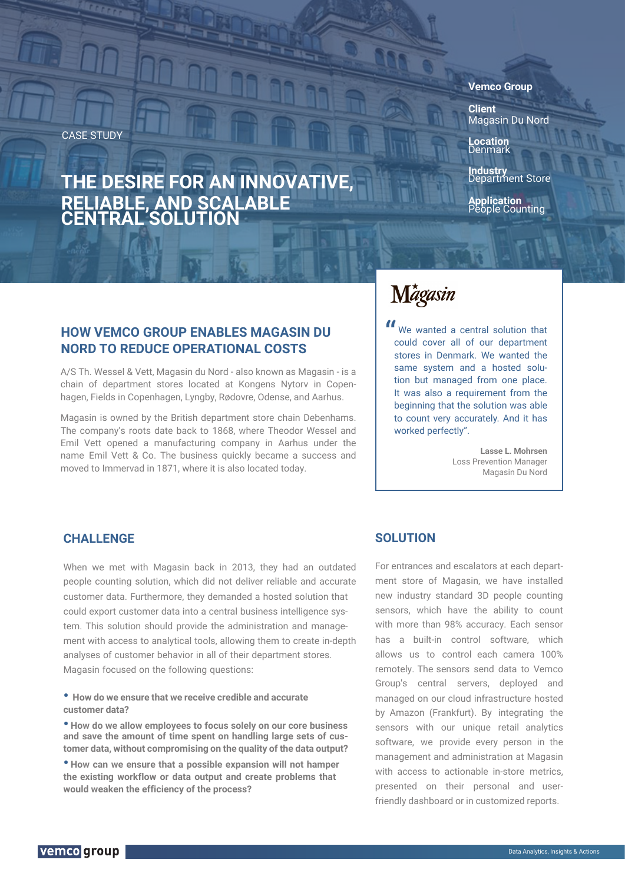CASE STUDY

## **THE DESIRE FOR AN INNOVATIVE, RELIABLE, AND SCALABLE CENTRAL SOLUTION**

#### **Vemco Group**

**Client** Magasin Du Nord

**Location** Denmark

**Industry** Department Store

**Application** People Counting

## **HOW VEMCO GROUP ENABLES MAGASIN DU NORD TO REDUCE OPERATIONAL COSTS**

A/S Th. Wessel & Vett, Magasin du Nord - also known as Magasin - is a chain of department stores located at Kongens Nytorv in Copenhagen, Fields in Copenhagen, Lyngby, Rødovre, Odense, and Aarhus.

Magasin is owned by the British department store chain Debenhams. The company's roots date back to 1868, where Theodor Wessel and Emil Vett opened a manufacturing company in Aarhus under the name Emil Vett & Co. The business quickly became a success and moved to Immervad in 1871, where it is also located today.

# Mágasin

We wanted a central solution that<br>could cover all of our department could cover all of our department stores in Denmark. We wanted the same system and a hosted solution but managed from one place. It was also a requirement from the beginning that the solution was able to count very accurately. And it has worked perfectly".

> **Lasse L. Mohrsen** Loss Prevention Manager Magasin Du Nord

#### **CHALLENGE**

When we met with Magasin back in 2013, they had an outdated people counting solution, which did not deliver reliable and accurate customer data. Furthermore, they demanded a hosted solution that could export customer data into a central business intelligence system. This solution should provide the administration and management with access to analytical tools, allowing them to create in-depth analyses of customer behavior in all of their department stores. Magasin focused on the following questions:

- **• How do we ensure that we receive credible and accurate customer data?**
- **• How do we allow employees to focus solely on our core business and save the amount of time spent on handling large sets of customer data, without compromising on the quality of the data output?**
- **• How can we ensure that a possible expansion will not hamper the existing workflow or data output and create problems that would weaken the efficiency of the process?**

#### **SOLUTION**

For entrances and escalators at each department store of Magasin, we have installed new industry standard 3D people counting sensors, which have the ability to count with more than 98% accuracy. Each sensor has a built-in control software, which allows us to control each camera 100% remotely. The sensors send data to Vemco Group's central servers, deployed and managed on our cloud infrastructure hosted by Amazon (Frankfurt). By integrating the sensors with our unique retail analytics software, we provide every person in the management and administration at Magasin with access to actionable in-store metrics, presented on their personal and userfriendly dashboard or in customized reports.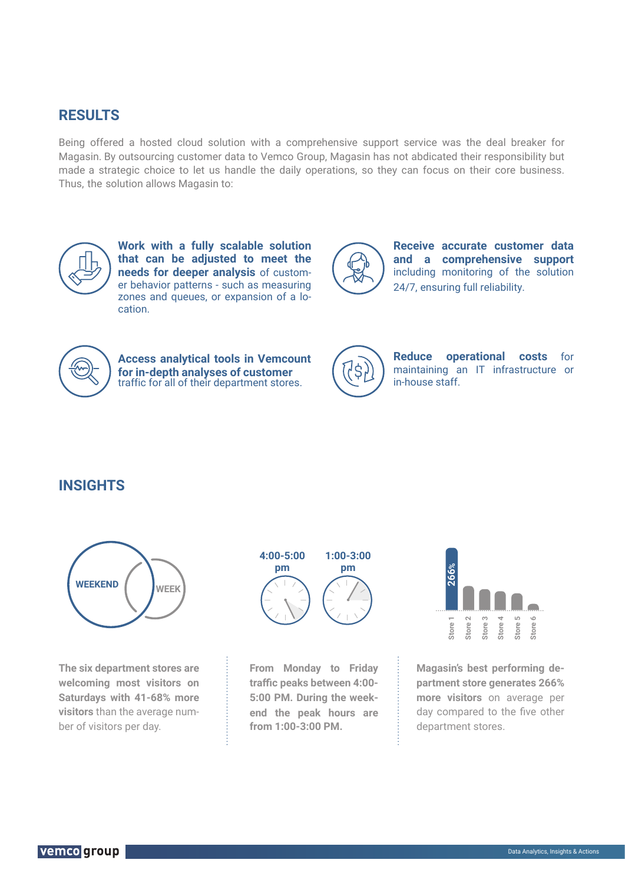## **RESULTS**

Being offered a hosted cloud solution with a comprehensive support service was the deal breaker for Magasin. By outsourcing customer data to Vemco Group, Magasin has not abdicated their responsibility but made a strategic choice to let us handle the daily operations, so they can focus on their core business. Thus, the solution allows Magasin to:



**Work with a fully scalable solution that can be adjusted to meet the needs for deeper analysis** of customer behavior patterns - such as measuring zones and queues, or expansion of a location.



**Receive accurate customer data and a comprehensive support** including monitoring of the solution 24/7, ensuring full reliability.



**Access analytical tools in Vemcount for in-depth analyses of customer** traffic for all of their department stores.



**Reduce operational costs** for maintaining an IT infrastructure or in-house staff.

## **INSIGHTS**



**The six department stores are welcoming most visitors on Saturdays with 41-68% more visitors** than the average number of visitors per day.



**From Monday to Friday traffic peaks between 4:00- 5:00 PM. During the weekend the peak hours are from 1:00-3:00 PM.**



**Magasin's best performing department store generates 266% more visitors** on average per day compared to the five other department stores.